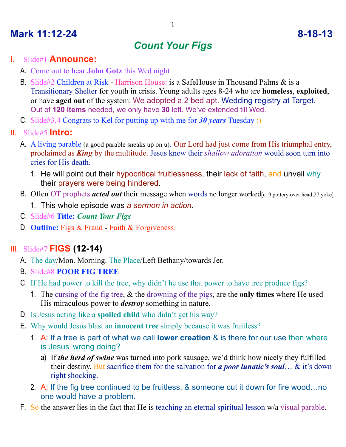# **Mark 11:12-24 8-18-13**

# *Count Your Figs*

#### I. Slide#1 **Announce:**

- A. Come out to hear **John Gotz** this Wed night.
- B. Slide#2 Children at Risk Harrison House: is a SafeHouse in Thousand Palms & is a Transitionary Shelter for youth in crisis. Young adults ages 8-24 who are **homeless**, **exploited**, or have **aged out** of the system. We adopted a 2 bed apt. Wedding registry at Target. Out of **120 items** needed, we only have **30** left. We've extended till Wed.
- C. Slide#3,4 Congrats to Kel for putting up with me for *30 years* Tuesday :)
- II. Slide#5 **Intro:**
	- A. A living parable (a good parable sneaks up on u). Our Lord had just come from His triumphal entry, proclaimed as *King* by the multitude. Jesus knew their *shallow adoration* would soon turn into cries for His death.
		- 1. He will point out their hypocritical fruitlessness, their lack of faith, and unveil why their prayers were being hindered.
	- B. Often OT prophets *acted out* their message when words no longer worked[c19 pottery over head;27 yoke]
		- 1. This whole episode was *a sermon in action*.
	- C. Slide#6 **Title:** *Count Your Figs*
	- D. **Outline:** Figs & Fraud Faith & Forgiveness.

## III. Slide#7 **FIGS (12-14)**

- A. The day/Mon. Morning. The Place/Left Bethany/towards Jer.
- B. Slide#8 **POOR FIG TREE**
- C. If He had power to kill the tree, why didn't he use that power to have tree produce figs?
	- 1. The cursing of the fig tree, & the drowning of the pigs, are the **only times** where He used His miraculous power to *destroy* something in nature.
- D. Is Jesus acting like a **spoiled child** who didn't get his way?
- E. Why would Jesus blast an **innocent tree** simply because it was fruitless?
	- 1. A: If a tree is part of what we call **lower creation** & is there for our use then where is Jesus' wrong doing?
		- a) If *the herd of swine* was turned into pork sausage, we'd think how nicely they fulfilled their destiny. But sacrifice them for the salvation for *a poor lunatic's soul*… & it's down right shocking.
	- 2. A: If the fig tree continued to be fruitless, & someone cut it down for fire wood…no one would have a problem.
- F. So the answer lies in the fact that He is teaching an eternal spiritual lesson w/a visual parable.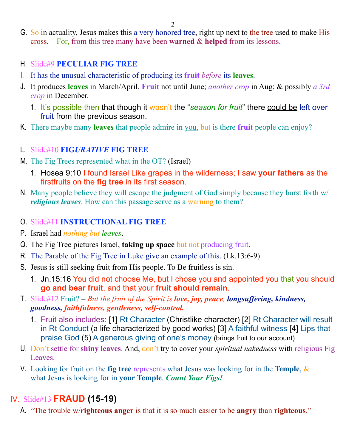2

G. So in actuality, Jesus makes this a very honored tree, right up next to the tree used to make His cross. – For, from this tree many have been **warned** & **helped** from its lessons.

#### H. Slide#9 **PECULIAR FIG TREE**

- I. It has the unusual characteristic of producing its **fruit** *before* its **leaves**.
- J. It produces **leaves** in March/April. **Fruit** not until June; *another crop* in Aug; & possibly *a 3rd crop* in December.
	- 1. It's possible then that though it wasn't the "*season for fruit*" there could be left over fruit from the previous season.
- K. There maybe many **leaves** that people admire in you, but is there **fruit** people can enjoy?

#### L. Slide#10 **FIG***URATIVE* **FIG TREE**

- M. The Fig Trees represented what in the OT? (Israel)
	- 1. Hosea 9:10 I found Israel Like grapes in the wilderness; I saw **your fathers** as the firstfruits on the **fig tree** in its first season.
- N. Many people believe they will escape the judgment of God simply because they burst forth w/ *religious leaves*. How can this passage serve as a warning to them?

#### O. Slide#11 **INSTRUCTIONAL FIG TREE**

- P. Israel had *nothing but leaves*.
- Q. The Fig Tree pictures Israel, **taking up space** but not producing fruit.
- R. The Parable of the Fig Tree in Luke give an example of this. (Lk.13:6-9)
- S. Jesus is still seeking fruit from His people. To Be fruitless is sin.
	- 1. Jn.15:16 You did not choose Me, but I chose you and appointed you that you should **go and bear fruit**, and that your **fruit should remain**.
- T. Slide#12 Fruit? *But the fruit of the Spirit is love, joy, peace, longsuffering, kindness, goodness, faithfulness, gentleness, self-control.*
	- 1. Fruit also includes: [1] Rt Character (Christlike character) [2] Rt Character will result in Rt Conduct (a life characterized by good works) [3] A faithful witness [4] Lips that praise God (5) A generous giving of one's money (brings fruit to our account)
- U. Don't settle for **shiny leaves**. And, don't try to cover your *spiritual nakedness* with religious Fig Leaves.
- V. Looking for fruit on the **fig tree** represents what Jesus was looking for in the **Temple**, & what Jesus is looking for in **your Temple**. *Count Your Figs!*

## IV. Slide#13 **FRAUD (15-19)**

A. "The trouble w/**righteous anger** is that it is so much easier to be **angry** than **righteous**."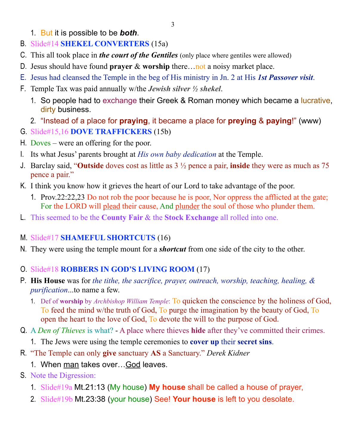- 1. But it is possible to be *both*.
- B. Slide#14 **SHEKEL CONVERTERS** (15a)
- C. This all took place in *the court of the Gentiles* (only place where gentiles were allowed)
- D. Jesus should have found **prayer** & **worship** there…not a noisy market place.
- E. Jesus had cleansed the Temple in the beg of His ministry in Jn. 2 at His *1st Passover visit*.
- F. Temple Tax was paid annually w/the *Jewish silver ½ shekel*.
	- 1. So people had to exchange their Greek & Roman money which became a lucrative, dirty business.
	- 2. "Instead of a place for **praying**, it became a place for **preying** & **paying**!" (www)
- G. Slide#15,16 **DOVE TRAFFICKERS** (15b)
- H. Doves were an offering for the poor.
- I. Its what Jesus' parents brought at *His own baby dedication* at the Temple.
- J. Barclay said, "**Outside** doves cost as little as 3 ½ pence a pair, **inside** they were as much as 75 pence a pair."
- K. I think you know how it grieves the heart of our Lord to take advantage of the poor.
	- 1. Prov.22:22,23 Do not rob the poor because he is poor, Nor oppress the afflicted at the gate; For the LORD will plead their cause, And plunder the soul of those who plunder them.
- L. This seemed to be the **County Fair** & the **Stock Exchange** all rolled into one.
- M. Slide#17 **SHAMEFUL SHORTCUTS** (16)
- N. They were using the temple mount for a *shortcut* from one side of the city to the other.

#### O. Slide#18 **ROBBERS IN GOD'S LIVING ROOM** (17)

- P. **His House** was for *the tithe, the sacrifice, prayer, outreach, worship, teaching, healing, & purification*...to name a few.
	- 1. Def of **worship** by *Archbishop William Temple*: To quicken the conscience by the holiness of God, To feed the mind w/the truth of God, To purge the imagination by the beauty of God, To open the heart to the love of God, To devote the will to the purpose of God.
- Q. A *Den of Thieves* is what? A place where thieves **hide** after they've committed their crimes.
	- 1. The Jews were using the temple ceremonies to **cover up** their **secret sins**.
- R. "The Temple can only **give** sanctuary **AS** a Sanctuary." *Derek Kidner*
	- 1. When man takes over…God leaves.
- S. Note the Digression:
	- 1. Slide#19a Mt.21:13 (My house) **My house** shall be called a house of prayer,
	- 2. Slide#19b Mt.23:38 (your house) See! **Your house** is left to you desolate.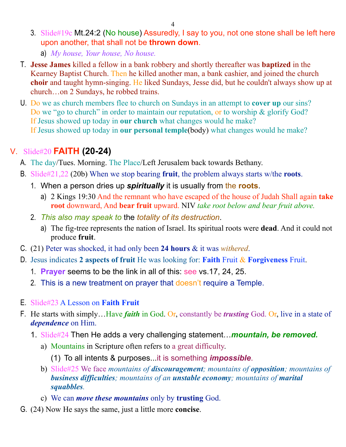- 3. Slide#19c Mt.24:2 (No house) Assuredly, I say to you, not one stone shall be left here upon another, that shall not be **thrown down**.
	- a) *My house, Your house, No house.*
- T. **Jesse James** killed a fellow in a bank robbery and shortly thereafter was **baptized** in the Kearney Baptist Church. Then he killed another man, a bank cashier, and joined the church **choir** and taught hymn-singing. He liked Sundays, Jesse did, but he couldn't always show up at church…on 2 Sundays, he robbed trains.
- U. Do we as church members flee to church on Sundays in an attempt to **cover up** our sins? Do we "go to church" in order to maintain our reputation, or to worship & glorify God? If Jesus showed up today in **our church** what changes would he make? If Jesus showed up today in **our personal temple**(body) what changes would he make?

### V. Slide#20 **FAITH (20-24)**

- A. The day/Tues. Morning. The Place/Left Jerusalem back towards Bethany.
- B. Slide#21,22 (20b) When we stop bearing **fruit**, the problem always starts w/the **roots**.
	- 1. When a person dries up *spiritually* it is usually from the **roots**.
		- a) 2 Kings 19:30 And the remnant who have escaped of the house of Judah Shall again **take root** downward, And **bear fruit** upward. NIV *take root below and bear fruit above.*
	- 2. *This also may speak to* the *totality of its destruction*.
		- a) The fig-tree represents the nation of Israel. Its spiritual roots were **dead**. And it could not produce **fruit**.
- C. (21) Peter was shocked, it had only been **24 hours** & it was *withered*.
- D. Jesus indicates **2 aspects of fruit** He was looking for: **Faith** Fruit & **Forgiveness** Fruit.
	- 1. **Prayer** seems to be the link in all of this: see vs.17, 24, 25.
	- 2. This is a new treatment on prayer that doesn't require a Temple.
- E. Slide#23 A Lesson on **Faith Fruit**
- F. He starts with simply…Have *faith* in God. Or, constantly be *trusting* God. Or, live in a state of *dependence* on Him.
	- 1. Slide#24 Then He adds a very challenging statement…*mountain, be removed.*
		- a) Mountains in Scripture often refers to a great difficulty.
			- (1) To all intents & purposes...it is something *impossible*.
		- b) Slide#25 We face *mountains of discouragement; mountains of opposition; mountains of business difficulties; mountains of an unstable economy; mountains of marital squabbles.*
		- c) We can *move these mountains* only by **trusting** God.
- G. (24) Now He says the same, just a little more **concise**.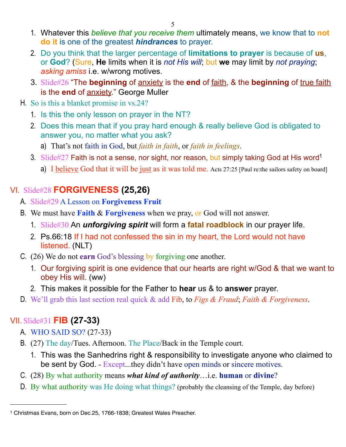- 1. Whatever this *believe that you receive them* ultimately means, we know that to **not do it** is one of the greatest *hindrances* to prayer.
- 2. Do you think that the larger percentage of **limitations to prayer** is because of **us**, or **God**? (Sure, **He** limits when it is *not His will*; but **we** may limit by *not praying*; *asking amiss* i.e. w/wrong motives.
- 3. Slide#26 "The **beginning** of anxiety is the **end** of faith, & the **beginning** of true faith is the **end** of anxiety." George Muller
- H. So is this a blanket promise in vs.24?
	- 1. Is this the only lesson on prayer in the NT?
	- 2. Does this mean that if you pray hard enough & really believe God is obligated to answer you, no matter what you ask?
		- a) That's not faith in God, but *faith in faith*, or *faith in feelings*.
	- 3. Slide#27 Faith is not a sense, nor sight, nor reason, but simply taking God at His word<sup>1</sup>
		- a) I believe God that it will be just as it was told me. Acts 27:25 [Paul re:the sailors safety on board]

## VI. Slide#28 **FORGIVENESS (25,26)**

- A. Slide#29 A Lesson on **Forgiveness Fruit**
- B. We must have **Faith** & **Forgiveness** when we pray, or God will not answer.
	- 1. Slide#30 An *unforgiving spirit* will form a **fatal roadblock** in our prayer life.
	- 2. Ps.66:18 If I had not confessed the sin in my heart, the Lord would not have listened. (NLT)
- C. (26) We do not **earn** God's blessing by forgiving one another.
	- 1. Our forgiving spirit is one evidence that our hearts are right w/God & that we want to obey His will. (ww)
	- 2. This makes it possible for the Father to **hear** us & to **answer** prayer.
- D. We'll grab this last section real quick & add Fib, to *Figs & Fraud*; *Faith & Forgiveness*.

## VII. Slide#31 **FIB (27-33)**

- A. WHO SAID SO? (27-33)
- B. (27) The day/Tues. Afternoon. The Place/Back in the Temple court.
	- 1. This was the Sanhedrins right & responsibility to investigate anyone who claimed to be sent by God. - Except...they didn't have open minds or sincere motives.
- C. (28) By what authority means *what kind of authority*…i.e. **human** or **divine**?
- D. By what authority was He doing what things? (probably the cleansing of the Temple, day before)

<span id="page-4-0"></span><sup>1</sup> Christmas Evans, born on Dec.25, 1766-1838; Greatest Wales Preacher.